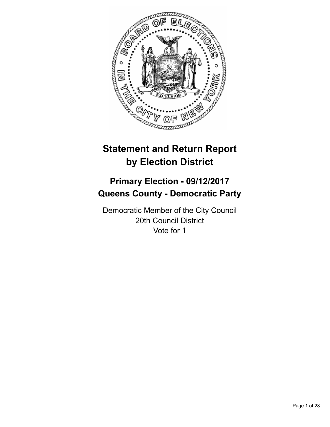

# **Statement and Return Report by Election District**

# **Primary Election - 09/12/2017 Queens County - Democratic Party**

Democratic Member of the City Council 20th Council District Vote for 1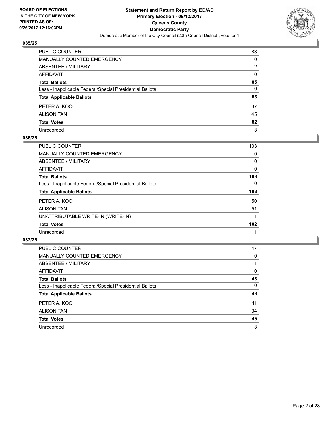

| PUBLIC COUNTER                                           | 83           |
|----------------------------------------------------------|--------------|
| MANUALLY COUNTED EMERGENCY                               | 0            |
| ABSENTEE / MILITARY                                      | 2            |
| AFFIDAVIT                                                | $\mathbf{0}$ |
| Total Ballots                                            | 85           |
| Less - Inapplicable Federal/Special Presidential Ballots | 0            |
| <b>Total Applicable Ballots</b>                          | 85           |
| PETER A. KOO                                             | 37           |
| ALISON TAN                                               | 45           |
| <b>Total Votes</b>                                       | 82           |
| Unrecorded                                               | 3            |

#### **036/25**

| <b>PUBLIC COUNTER</b>                                    | 103 |
|----------------------------------------------------------|-----|
| <b>MANUALLY COUNTED EMERGENCY</b>                        | 0   |
| ABSENTEE / MILITARY                                      | 0   |
| AFFIDAVIT                                                | 0   |
| <b>Total Ballots</b>                                     | 103 |
| Less - Inapplicable Federal/Special Presidential Ballots | 0   |
| <b>Total Applicable Ballots</b>                          | 103 |
| PETER A. KOO                                             | 50  |
| <b>ALISON TAN</b>                                        | 51  |
| UNATTRIBUTABLE WRITE-IN (WRITE-IN)                       |     |
| <b>Total Votes</b>                                       | 102 |
| Unrecorded                                               |     |

| <b>PUBLIC COUNTER</b>                                    | 47 |
|----------------------------------------------------------|----|
| <b>MANUALLY COUNTED EMERGENCY</b>                        | 0  |
| ABSENTEE / MILITARY                                      |    |
| AFFIDAVIT                                                | 0  |
| <b>Total Ballots</b>                                     | 48 |
| Less - Inapplicable Federal/Special Presidential Ballots | 0  |
| <b>Total Applicable Ballots</b>                          | 48 |
| PETER A. KOO                                             | 11 |
| <b>ALISON TAN</b>                                        | 34 |
| <b>Total Votes</b>                                       | 45 |
| Unrecorded                                               | 3  |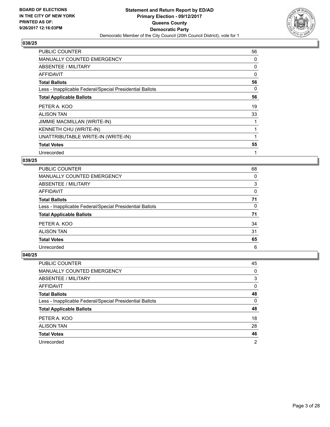

| <b>PUBLIC COUNTER</b>                                    | 56 |
|----------------------------------------------------------|----|
| <b>MANUALLY COUNTED EMERGENCY</b>                        | 0  |
| ABSENTEE / MILITARY                                      | 0  |
| AFFIDAVIT                                                | 0  |
| <b>Total Ballots</b>                                     | 56 |
| Less - Inapplicable Federal/Special Presidential Ballots | 0  |
| <b>Total Applicable Ballots</b>                          | 56 |
| PETER A. KOO                                             | 19 |
| <b>ALISON TAN</b>                                        | 33 |
| JIMMIE MACMILLAN (WRITE-IN)                              |    |
| KENNETH CHU (WRITE-IN)                                   |    |
| UNATTRIBUTABLE WRITE-IN (WRITE-IN)                       |    |
| <b>Total Votes</b>                                       | 55 |
| Unrecorded                                               | 1  |

# **039/25**

| <b>PUBLIC COUNTER</b>                                    | 68 |
|----------------------------------------------------------|----|
| MANUALLY COUNTED EMERGENCY                               | 0  |
| ABSENTEE / MILITARY                                      | 3  |
| <b>AFFIDAVIT</b>                                         | 0  |
| <b>Total Ballots</b>                                     | 71 |
| Less - Inapplicable Federal/Special Presidential Ballots | 0  |
| <b>Total Applicable Ballots</b>                          | 71 |
| PETER A. KOO                                             | 34 |
| <b>ALISON TAN</b>                                        | 31 |
| <b>Total Votes</b>                                       | 65 |
| Unrecorded                                               | 6  |

| PUBLIC COUNTER                                           | 45             |
|----------------------------------------------------------|----------------|
| MANUALLY COUNTED EMERGENCY                               | 0              |
| ABSENTEE / MILITARY                                      | 3              |
| AFFIDAVIT                                                | $\Omega$       |
| <b>Total Ballots</b>                                     | 48             |
| Less - Inapplicable Federal/Special Presidential Ballots | 0              |
| <b>Total Applicable Ballots</b>                          | 48             |
| PETER A. KOO                                             | 18             |
| <b>ALISON TAN</b>                                        | 28             |
| <b>Total Votes</b>                                       | 46             |
| Unrecorded                                               | $\overline{2}$ |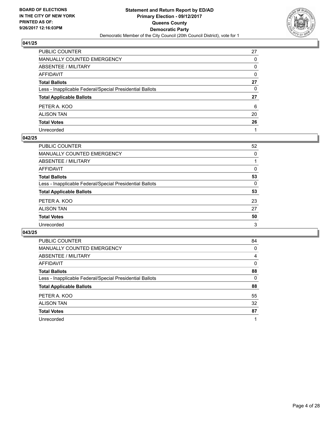

| PUBLIC COUNTER                                           | 27           |
|----------------------------------------------------------|--------------|
| MANUALLY COUNTED EMERGENCY                               | 0            |
| <b>ABSENTEE / MILITARY</b>                               | 0            |
| AFFIDAVIT                                                | $\mathbf{0}$ |
| Total Ballots                                            | 27           |
| Less - Inapplicable Federal/Special Presidential Ballots | $\mathbf{0}$ |
| <b>Total Applicable Ballots</b>                          | 27           |
| PETER A. KOO                                             | 6            |
| ALISON TAN                                               | 20           |
| <b>Total Votes</b>                                       | 26           |
| Unrecorded                                               |              |

#### **042/25**

| PUBLIC COUNTER                                           | 52 |
|----------------------------------------------------------|----|
| MANUALLY COUNTED EMERGENCY                               | 0  |
| ABSENTEE / MILITARY                                      |    |
| AFFIDAVIT                                                | 0  |
| <b>Total Ballots</b>                                     | 53 |
| Less - Inapplicable Federal/Special Presidential Ballots | 0  |
| <b>Total Applicable Ballots</b>                          | 53 |
| PETER A. KOO                                             | 23 |
| <b>ALISON TAN</b>                                        | 27 |
| <b>Total Votes</b>                                       | 50 |
| Unrecorded                                               | 3  |

| <b>PUBLIC COUNTER</b>                                    | 84 |
|----------------------------------------------------------|----|
| <b>MANUALLY COUNTED EMERGENCY</b>                        | 0  |
| <b>ABSENTEE / MILITARY</b>                               | 4  |
| AFFIDAVIT                                                | 0  |
| <b>Total Ballots</b>                                     | 88 |
| Less - Inapplicable Federal/Special Presidential Ballots | 0  |
| <b>Total Applicable Ballots</b>                          | 88 |
| PETER A. KOO                                             | 55 |
| <b>ALISON TAN</b>                                        | 32 |
| <b>Total Votes</b>                                       | 87 |
| Unrecorded                                               |    |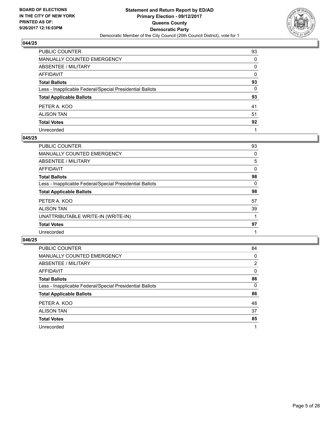

| PUBLIC COUNTER                                           | 93 |
|----------------------------------------------------------|----|
| MANUALLY COUNTED EMERGENCY                               | 0  |
| ABSENTEE / MILITARY                                      | 0  |
| AFFIDAVIT                                                | 0  |
| Total Ballots                                            | 93 |
| Less - Inapplicable Federal/Special Presidential Ballots | 0  |
| <b>Total Applicable Ballots</b>                          | 93 |
| PETER A. KOO                                             | 41 |
| ALISON TAN                                               | 51 |
| <b>Total Votes</b>                                       | 92 |
| Unrecorded                                               |    |

#### **045/25**

| PUBLIC COUNTER                                           | 93 |
|----------------------------------------------------------|----|
| <b>MANUALLY COUNTED EMERGENCY</b>                        | 0  |
| ABSENTEE / MILITARY                                      | 5  |
| AFFIDAVIT                                                | 0  |
| <b>Total Ballots</b>                                     | 98 |
| Less - Inapplicable Federal/Special Presidential Ballots | 0  |
| <b>Total Applicable Ballots</b>                          | 98 |
| PETER A. KOO                                             | 57 |
| <b>ALISON TAN</b>                                        | 39 |
| UNATTRIBUTABLE WRITE-IN (WRITE-IN)                       |    |
| <b>Total Votes</b>                                       | 97 |
| Unrecorded                                               |    |

| <b>PUBLIC COUNTER</b>                                    | 84 |
|----------------------------------------------------------|----|
| MANUALLY COUNTED EMERGENCY                               | 0  |
| ABSENTEE / MILITARY                                      | 2  |
| AFFIDAVIT                                                | 0  |
| <b>Total Ballots</b>                                     | 86 |
| Less - Inapplicable Federal/Special Presidential Ballots | 0  |
| <b>Total Applicable Ballots</b>                          | 86 |
| PETER A. KOO                                             | 48 |
| <b>ALISON TAN</b>                                        | 37 |
| <b>Total Votes</b>                                       | 85 |
| Unrecorded                                               | 1  |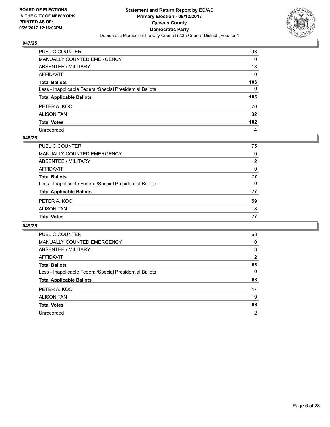

| PUBLIC COUNTER                                           | 93               |
|----------------------------------------------------------|------------------|
| MANUALLY COUNTED EMERGENCY                               | 0                |
| ABSENTEE / MILITARY                                      | 13               |
| AFFIDAVIT                                                | $\mathbf{0}$     |
| Total Ballots                                            | 106              |
| Less - Inapplicable Federal/Special Presidential Ballots | $\Omega$         |
| <b>Total Applicable Ballots</b>                          | 106              |
| PETER A. KOO                                             | 70               |
| ALISON TAN                                               | 32               |
| <b>Total Votes</b>                                       | 102 <sub>2</sub> |
| Unrecorded                                               | 4                |

#### **048/25**

| PUBLIC COUNTER                                           |          |
|----------------------------------------------------------|----------|
| MANUALLY COUNTED EMERGENCY                               | 0        |
| ABSENTEE / MILITARY                                      | 2        |
| AFFIDAVIT                                                | $\Omega$ |
| <b>Total Ballots</b>                                     | 77       |
| Less - Inapplicable Federal/Special Presidential Ballots | 0        |
| <b>Total Applicable Ballots</b>                          | 77       |
| PETER A. KOO                                             | 59       |
| <b>ALISON TAN</b>                                        | 18       |
| <b>Total Votes</b>                                       | 77       |
|                                                          |          |

| <b>PUBLIC COUNTER</b>                                    | 63 |
|----------------------------------------------------------|----|
| <b>MANUALLY COUNTED EMERGENCY</b>                        | 0  |
| ABSENTEE / MILITARY                                      | 3  |
| AFFIDAVIT                                                | 2  |
| <b>Total Ballots</b>                                     | 68 |
| Less - Inapplicable Federal/Special Presidential Ballots | 0  |
| <b>Total Applicable Ballots</b>                          | 68 |
| PETER A. KOO                                             | 47 |
| <b>ALISON TAN</b>                                        | 19 |
| <b>Total Votes</b>                                       | 66 |
| Unrecorded                                               | 2  |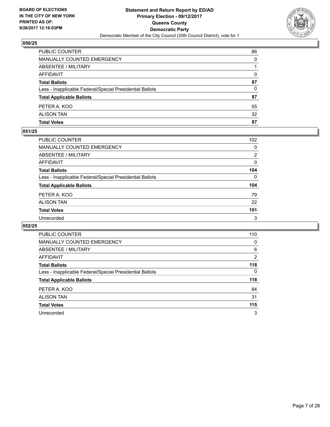

| PUBLIC COUNTER                                           | 86       |
|----------------------------------------------------------|----------|
| MANUALLY COUNTED EMERGENCY                               | 0        |
| <b>ABSENTEE / MILITARY</b>                               |          |
| AFFIDAVIT                                                | $\Omega$ |
| <b>Total Ballots</b>                                     | 87       |
| Less - Inapplicable Federal/Special Presidential Ballots | $\Omega$ |
| <b>Total Applicable Ballots</b>                          | 87       |
| PETER A. KOO                                             | 55       |
| <b>ALISON TAN</b>                                        | 32       |
| <b>Total Votes</b>                                       | 87       |

#### **051/25**

| <b>PUBLIC COUNTER</b>                                    | 102 |
|----------------------------------------------------------|-----|
| <b>MANUALLY COUNTED EMERGENCY</b>                        | 0   |
| ABSENTEE / MILITARY                                      | 2   |
| AFFIDAVIT                                                | 0   |
| <b>Total Ballots</b>                                     | 104 |
| Less - Inapplicable Federal/Special Presidential Ballots | 0   |
| <b>Total Applicable Ballots</b>                          | 104 |
| PETER A. KOO                                             | 79  |
| <b>ALISON TAN</b>                                        | 22  |
| <b>Total Votes</b>                                       | 101 |
| Unrecorded                                               | 3   |
|                                                          |     |

| <b>PUBLIC COUNTER</b>                                    | 110 |
|----------------------------------------------------------|-----|
| <b>MANUALLY COUNTED EMERGENCY</b>                        | 0   |
| ABSENTEE / MILITARY                                      | 6   |
| <b>AFFIDAVIT</b>                                         | 2   |
| <b>Total Ballots</b>                                     | 118 |
| Less - Inapplicable Federal/Special Presidential Ballots | 0   |
| <b>Total Applicable Ballots</b>                          | 118 |
| PETER A. KOO                                             | 84  |
| <b>ALISON TAN</b>                                        | 31  |
| <b>Total Votes</b>                                       | 115 |
| Unrecorded                                               | 3   |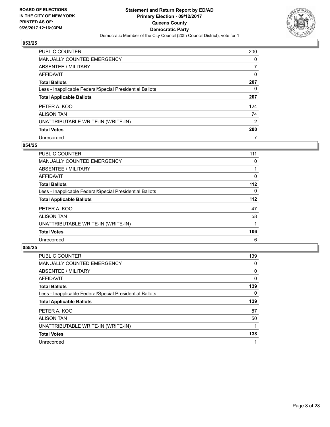

| <b>PUBLIC COUNTER</b>                                    | 200            |
|----------------------------------------------------------|----------------|
| <b>MANUALLY COUNTED EMERGENCY</b>                        | 0              |
| ABSENTEE / MILITARY                                      | 7              |
| AFFIDAVIT                                                | 0              |
| <b>Total Ballots</b>                                     | 207            |
| Less - Inapplicable Federal/Special Presidential Ballots | 0              |
| <b>Total Applicable Ballots</b>                          | 207            |
| PETER A. KOO                                             | 124            |
| <b>ALISON TAN</b>                                        | 74             |
| UNATTRIBUTABLE WRITE-IN (WRITE-IN)                       | $\overline{2}$ |
| <b>Total Votes</b>                                       | 200            |
| Unrecorded                                               | 7              |

#### **054/25**

| <b>PUBLIC COUNTER</b>                                    | 111   |
|----------------------------------------------------------|-------|
| <b>MANUALLY COUNTED EMERGENCY</b>                        | 0     |
| ABSENTEE / MILITARY                                      |       |
| AFFIDAVIT                                                | 0     |
| <b>Total Ballots</b>                                     | $112$ |
| Less - Inapplicable Federal/Special Presidential Ballots | 0     |
| <b>Total Applicable Ballots</b>                          | 112   |
| PETER A. KOO                                             | 47    |
| <b>ALISON TAN</b>                                        | 58    |
| UNATTRIBUTABLE WRITE-IN (WRITE-IN)                       |       |
| <b>Total Votes</b>                                       | 106   |
| Unrecorded                                               | 6     |
|                                                          |       |

| <b>PUBLIC COUNTER</b>                                    | 139      |
|----------------------------------------------------------|----------|
| <b>MANUALLY COUNTED EMERGENCY</b>                        | 0        |
| ABSENTEE / MILITARY                                      | $\Omega$ |
| AFFIDAVIT                                                | 0        |
| <b>Total Ballots</b>                                     | 139      |
| Less - Inapplicable Federal/Special Presidential Ballots | 0        |
| <b>Total Applicable Ballots</b>                          | 139      |
| PETER A. KOO                                             | 87       |
| <b>ALISON TAN</b>                                        | 50       |
| UNATTRIBUTABLE WRITE-IN (WRITE-IN)                       |          |
| <b>Total Votes</b>                                       | 138      |
| Unrecorded                                               |          |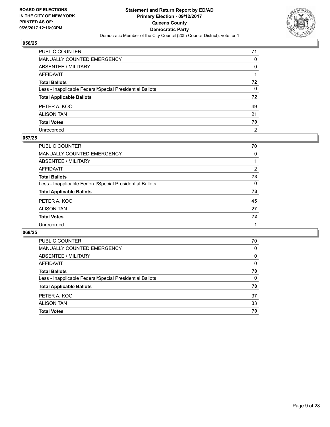

| PUBLIC COUNTER                                           | 71           |
|----------------------------------------------------------|--------------|
| MANUALLY COUNTED EMERGENCY                               | 0            |
| <b>ABSENTEE / MILITARY</b>                               | 0            |
| AFFIDAVIT                                                |              |
| Total Ballots                                            | 72           |
| Less - Inapplicable Federal/Special Presidential Ballots | $\mathbf{0}$ |
| <b>Total Applicable Ballots</b>                          | 72           |
| PETER A. KOO                                             | 49           |
| ALISON TAN                                               | 21           |
| <b>Total Votes</b>                                       | 70           |
| Unrecorded                                               | 2            |

#### **057/25**

| PUBLIC COUNTER                                           | 70 |
|----------------------------------------------------------|----|
| MANUALLY COUNTED EMERGENCY                               | 0  |
| ABSENTEE / MILITARY                                      |    |
| AFFIDAVIT                                                | 2  |
| <b>Total Ballots</b>                                     | 73 |
| Less - Inapplicable Federal/Special Presidential Ballots | 0  |
| <b>Total Applicable Ballots</b>                          | 73 |
| PETER A. KOO                                             | 45 |
| <b>ALISON TAN</b>                                        | 27 |
| <b>Total Votes</b>                                       | 72 |
| Unrecorded                                               |    |

| <b>PUBLIC COUNTER</b>                                    | 70 |
|----------------------------------------------------------|----|
| <b>MANUALLY COUNTED EMERGENCY</b>                        | 0  |
| ABSENTEE / MILITARY                                      | 0  |
| AFFIDAVIT                                                | 0  |
| <b>Total Ballots</b>                                     | 70 |
| Less - Inapplicable Federal/Special Presidential Ballots | 0  |
| <b>Total Applicable Ballots</b>                          | 70 |
| PETER A. KOO                                             | 37 |
| <b>ALISON TAN</b>                                        | 33 |
| <b>Total Votes</b>                                       | 70 |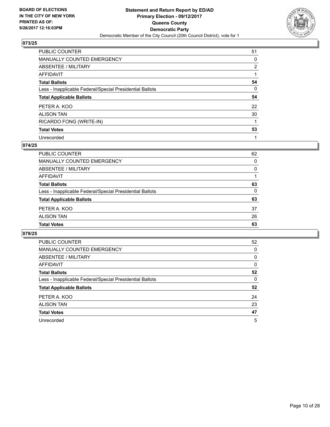

| <b>PUBLIC COUNTER</b>                                    | 51             |
|----------------------------------------------------------|----------------|
| <b>MANUALLY COUNTED EMERGENCY</b>                        | 0              |
| ABSENTEE / MILITARY                                      | $\overline{2}$ |
| AFFIDAVIT                                                |                |
| <b>Total Ballots</b>                                     | 54             |
| Less - Inapplicable Federal/Special Presidential Ballots | 0              |
| <b>Total Applicable Ballots</b>                          | 54             |
| PETER A. KOO                                             | 22             |
| <b>ALISON TAN</b>                                        | 30             |
| RICARDO FONG (WRITE-IN)                                  |                |
| <b>Total Votes</b>                                       | 53             |
| Unrecorded                                               |                |

#### **074/25**

| <b>Total Votes</b>                                       | 63       |
|----------------------------------------------------------|----------|
| <b>ALISON TAN</b>                                        | 26       |
| PETER A. KOO                                             | 37       |
| <b>Total Applicable Ballots</b>                          | 63       |
| Less - Inapplicable Federal/Special Presidential Ballots | 0        |
| <b>Total Ballots</b>                                     | 63       |
| AFFIDAVIT                                                |          |
| ABSENTEE / MILITARY                                      | $\Omega$ |
| MANUALLY COUNTED EMERGENCY                               | 0        |
| PUBLIC COUNTER                                           | 62       |

| <b>PUBLIC COUNTER</b>                                    | 52 |
|----------------------------------------------------------|----|
| <b>MANUALLY COUNTED EMERGENCY</b>                        | 0  |
| ABSENTEE / MILITARY                                      | 0  |
| <b>AFFIDAVIT</b>                                         | 0  |
| <b>Total Ballots</b>                                     | 52 |
| Less - Inapplicable Federal/Special Presidential Ballots | 0  |
| <b>Total Applicable Ballots</b>                          | 52 |
| PETER A. KOO                                             | 24 |
| <b>ALISON TAN</b>                                        | 23 |
| <b>Total Votes</b>                                       | 47 |
| Unrecorded                                               | 5  |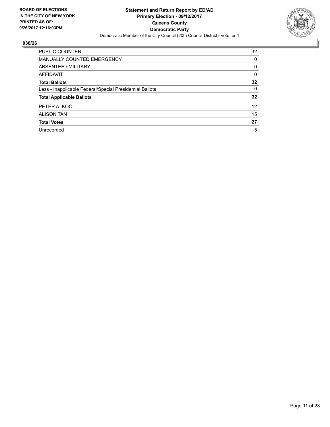

| <b>PUBLIC COUNTER</b>                                    | 32 |
|----------------------------------------------------------|----|
| <b>MANUALLY COUNTED EMERGENCY</b>                        | 0  |
| ABSENTEE / MILITARY                                      | 0  |
| AFFIDAVIT                                                | 0  |
| <b>Total Ballots</b>                                     | 32 |
| Less - Inapplicable Federal/Special Presidential Ballots | 0  |
| <b>Total Applicable Ballots</b>                          | 32 |
| PETER A. KOO                                             | 12 |
| <b>ALISON TAN</b>                                        | 15 |
| <b>Total Votes</b>                                       | 27 |
| Unrecorded                                               | 5  |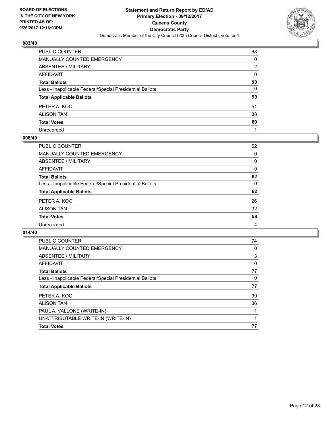

| PUBLIC COUNTER                                           | 88           |
|----------------------------------------------------------|--------------|
| MANUALLY COUNTED EMERGENCY                               | 0            |
| ABSENTEE / MILITARY                                      | 2            |
| AFFIDAVIT                                                | $\mathbf{0}$ |
| Total Ballots                                            | 90           |
| Less - Inapplicable Federal/Special Presidential Ballots | $\mathbf{0}$ |
| <b>Total Applicable Ballots</b>                          | 90           |
| PETER A. KOO                                             | 51           |
| ALISON TAN                                               | 38           |
| <b>Total Votes</b>                                       | 89           |
| Unrecorded                                               |              |

#### **008/40**

| PUBLIC COUNTER                                           | 62 |
|----------------------------------------------------------|----|
| MANUALLY COUNTED EMERGENCY                               | 0  |
| ABSENTEE / MILITARY                                      | 0  |
| AFFIDAVIT                                                | 0  |
| <b>Total Ballots</b>                                     | 62 |
| Less - Inapplicable Federal/Special Presidential Ballots | 0  |
| <b>Total Applicable Ballots</b>                          | 62 |
| PETER A. KOO                                             | 26 |
| <b>ALISON TAN</b>                                        | 32 |
| <b>Total Votes</b>                                       | 58 |
| Unrecorded                                               | 4  |
|                                                          |    |

| <b>PUBLIC COUNTER</b>                                    | 74 |
|----------------------------------------------------------|----|
| <b>MANUALLY COUNTED EMERGENCY</b>                        | 0  |
| ABSENTEE / MILITARY                                      | 3  |
| AFFIDAVIT                                                | 0  |
| <b>Total Ballots</b>                                     | 77 |
| Less - Inapplicable Federal/Special Presidential Ballots | 0  |
| <b>Total Applicable Ballots</b>                          | 77 |
| PETER A. KOO                                             | 39 |
| <b>ALISON TAN</b>                                        | 36 |
| PAUL A. VALLONE (WRITE-IN)                               |    |
| UNATTRIBUTABLE WRITE-IN (WRITE-IN)                       |    |
| <b>Total Votes</b>                                       | 77 |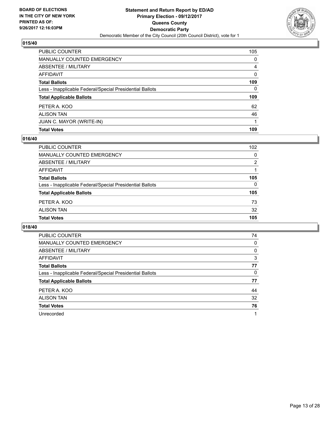

| PUBLIC COUNTER                                           | 105          |
|----------------------------------------------------------|--------------|
| <b>MANUALLY COUNTED EMERGENCY</b>                        | $\mathbf{0}$ |
| <b>ABSENTEE / MILITARY</b>                               | 4            |
| AFFIDAVIT                                                | $\Omega$     |
| <b>Total Ballots</b>                                     | 109          |
| Less - Inapplicable Federal/Special Presidential Ballots | $\mathbf{0}$ |
| <b>Total Applicable Ballots</b>                          | 109          |
| PETER A. KOO                                             | 62           |
| <b>ALISON TAN</b>                                        | 46           |
| JUAN C. MAYOR (WRITE-IN)                                 |              |
| <b>Total Votes</b>                                       | 109          |

# **016/40**

| <b>PUBLIC COUNTER</b>                                    | 102 |
|----------------------------------------------------------|-----|
| <b>MANUALLY COUNTED EMERGENCY</b>                        | 0   |
| ABSENTEE / MILITARY                                      | 2   |
| AFFIDAVIT                                                |     |
| <b>Total Ballots</b>                                     | 105 |
| Less - Inapplicable Federal/Special Presidential Ballots | 0   |
| <b>Total Applicable Ballots</b>                          | 105 |
| PETER A. KOO                                             | 73  |
| <b>ALISON TAN</b>                                        | 32  |
| <b>Total Votes</b>                                       | 105 |

| <b>PUBLIC COUNTER</b>                                    | 74 |
|----------------------------------------------------------|----|
| <b>MANUALLY COUNTED EMERGENCY</b>                        | 0  |
| ABSENTEE / MILITARY                                      | 0  |
| AFFIDAVIT                                                | 3  |
| <b>Total Ballots</b>                                     | 77 |
| Less - Inapplicable Federal/Special Presidential Ballots | 0  |
| <b>Total Applicable Ballots</b>                          | 77 |
| PETER A. KOO                                             | 44 |
| <b>ALISON TAN</b>                                        | 32 |
| <b>Total Votes</b>                                       | 76 |
| Unrecorded                                               | 1  |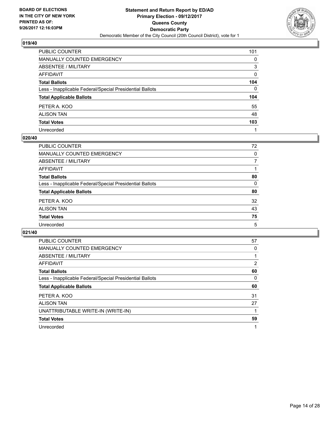

| PUBLIC COUNTER                                           | 101 |
|----------------------------------------------------------|-----|
| MANUALLY COUNTED EMERGENCY                               | 0   |
| ABSENTEE / MILITARY                                      | 3   |
| AFFIDAVIT                                                | 0   |
| <b>Total Ballots</b>                                     | 104 |
| Less - Inapplicable Federal/Special Presidential Ballots | 0   |
| <b>Total Applicable Ballots</b>                          | 104 |
| PETER A. KOO                                             | 55  |
| ALISON TAN                                               | 48  |
| <b>Total Votes</b>                                       | 103 |
| Unrecorded                                               |     |

#### **020/40**

| 72 |
|----|
| 0  |
| 7  |
|    |
| 80 |
| 0  |
| 80 |
| 32 |
| 43 |
| 75 |
| 5  |
|    |

| <b>PUBLIC COUNTER</b>                                    | 57 |
|----------------------------------------------------------|----|
| <b>MANUALLY COUNTED EMERGENCY</b>                        | 0  |
| ABSENTEE / MILITARY                                      |    |
| AFFIDAVIT                                                | 2  |
| <b>Total Ballots</b>                                     | 60 |
| Less - Inapplicable Federal/Special Presidential Ballots | 0  |
| <b>Total Applicable Ballots</b>                          | 60 |
| PETER A. KOO                                             | 31 |
| <b>ALISON TAN</b>                                        | 27 |
| UNATTRIBUTABLE WRITE-IN (WRITE-IN)                       |    |
| <b>Total Votes</b>                                       | 59 |
| Unrecorded                                               |    |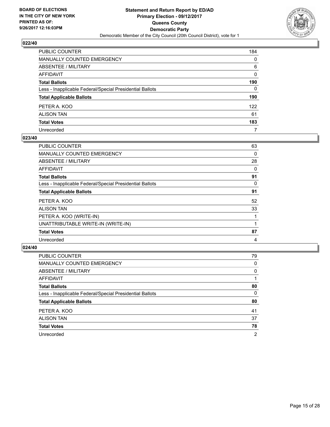

| PUBLIC COUNTER                                           | 184          |
|----------------------------------------------------------|--------------|
| MANUALLY COUNTED EMERGENCY                               | 0            |
| ABSENTEE / MILITARY                                      | 6            |
| AFFIDAVIT                                                | $\mathbf{0}$ |
| Total Ballots                                            | 190          |
| Less - Inapplicable Federal/Special Presidential Ballots | $\Omega$     |
| <b>Total Applicable Ballots</b>                          | 190          |
| PETER A. KOO                                             | 122          |
| ALISON TAN                                               | 61           |
| <b>Total Votes</b>                                       | 183          |
| Unrecorded                                               | 7            |

#### **023/40**

| <b>PUBLIC COUNTER</b>                                    | 63 |
|----------------------------------------------------------|----|
| <b>MANUALLY COUNTED EMERGENCY</b>                        | 0  |
| ABSENTEE / MILITARY                                      | 28 |
| AFFIDAVIT                                                | 0  |
| <b>Total Ballots</b>                                     | 91 |
| Less - Inapplicable Federal/Special Presidential Ballots | 0  |
| <b>Total Applicable Ballots</b>                          | 91 |
| PETER A. KOO                                             | 52 |
| <b>ALISON TAN</b>                                        | 33 |
| PETER A. KOO (WRITE-IN)                                  |    |
| UNATTRIBUTABLE WRITE-IN (WRITE-IN)                       |    |
| <b>Total Votes</b>                                       | 87 |
| Unrecorded                                               | 4  |

| <b>PUBLIC COUNTER</b>                                    | 79             |
|----------------------------------------------------------|----------------|
| <b>MANUALLY COUNTED EMERGENCY</b>                        | 0              |
| ABSENTEE / MILITARY                                      | 0              |
| AFFIDAVIT                                                |                |
| <b>Total Ballots</b>                                     | 80             |
| Less - Inapplicable Federal/Special Presidential Ballots | 0              |
| <b>Total Applicable Ballots</b>                          | 80             |
| PETER A. KOO                                             | 41             |
| <b>ALISON TAN</b>                                        | 37             |
| <b>Total Votes</b>                                       | 78             |
| Unrecorded                                               | $\overline{2}$ |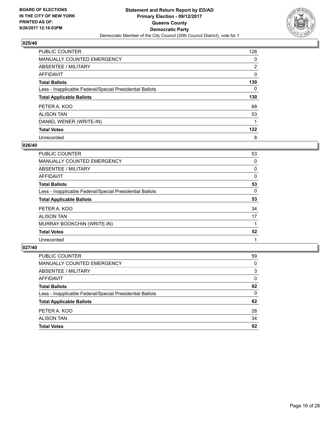

| <b>PUBLIC COUNTER</b>                                    | 128            |
|----------------------------------------------------------|----------------|
| <b>MANUALLY COUNTED EMERGENCY</b>                        | 0              |
| ABSENTEE / MILITARY                                      | $\overline{2}$ |
| AFFIDAVIT                                                | 0              |
| <b>Total Ballots</b>                                     | 130            |
| Less - Inapplicable Federal/Special Presidential Ballots | 0              |
| <b>Total Applicable Ballots</b>                          | 130            |
|                                                          |                |
| PETER A. KOO                                             | 68             |
| <b>ALISON TAN</b>                                        | 53             |
| DANIEL WENER (WRITE-IN)                                  |                |
| <b>Total Votes</b>                                       | 122            |

#### **026/40**

| <b>PUBLIC COUNTER</b>                                    | 53 |
|----------------------------------------------------------|----|
| MANUALLY COUNTED EMERGENCY                               | 0  |
| ABSENTEE / MILITARY                                      | 0  |
| <b>AFFIDAVIT</b>                                         | 0  |
| <b>Total Ballots</b>                                     | 53 |
| Less - Inapplicable Federal/Special Presidential Ballots | 0  |
| <b>Total Applicable Ballots</b>                          | 53 |
| PETER A. KOO                                             | 34 |
| <b>ALISON TAN</b>                                        | 17 |
| MURRAY BOOKCHIN (WRITE-IN)                               |    |
| <b>Total Votes</b>                                       | 52 |
| Unrecorded                                               |    |

| <b>PUBLIC COUNTER</b>                                    | 59 |
|----------------------------------------------------------|----|
| MANUALLY COUNTED EMERGENCY                               | 0  |
| ABSENTEE / MILITARY                                      | 3  |
| AFFIDAVIT                                                | 0  |
| <b>Total Ballots</b>                                     | 62 |
| Less - Inapplicable Federal/Special Presidential Ballots | 0  |
| <b>Total Applicable Ballots</b>                          | 62 |
| PETER A. KOO                                             | 28 |
| <b>ALISON TAN</b>                                        | 34 |
| <b>Total Votes</b>                                       | 62 |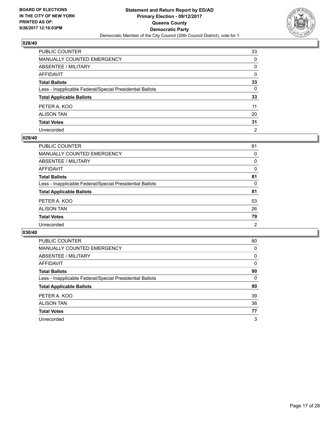

| PUBLIC COUNTER                                           | 33             |
|----------------------------------------------------------|----------------|
| MANUALLY COUNTED EMERGENCY                               | 0              |
| ABSENTEE / MILITARY                                      | 0              |
| AFFIDAVIT                                                | 0              |
| Total Ballots                                            | 33             |
| Less - Inapplicable Federal/Special Presidential Ballots | $\mathbf{0}$   |
| <b>Total Applicable Ballots</b>                          | 33             |
| PETER A. KOO                                             | 11             |
| ALISON TAN                                               | 20             |
| <b>Total Votes</b>                                       | 31             |
| Unrecorded                                               | $\overline{2}$ |

#### **029/40**

| 81 |
|----|
| 0  |
| 0  |
| 0  |
| 81 |
| 0  |
| 81 |
| 53 |
| 26 |
| 79 |
| 2  |
|    |

| <b>PUBLIC COUNTER</b>                                    | 80 |
|----------------------------------------------------------|----|
| <b>MANUALLY COUNTED EMERGENCY</b>                        | 0  |
| ABSENTEE / MILITARY                                      | 0  |
| AFFIDAVIT                                                | 0  |
| <b>Total Ballots</b>                                     | 80 |
| Less - Inapplicable Federal/Special Presidential Ballots | 0  |
| <b>Total Applicable Ballots</b>                          | 80 |
| PETER A. KOO                                             | 39 |
| <b>ALISON TAN</b>                                        | 38 |
| <b>Total Votes</b>                                       | 77 |
| Unrecorded                                               | 3  |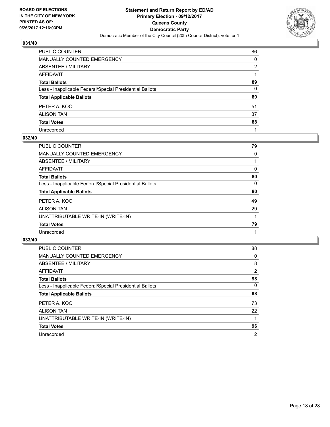

| PUBLIC COUNTER                                           | 86           |
|----------------------------------------------------------|--------------|
| MANUALLY COUNTED EMERGENCY                               | 0            |
| ABSENTEE / MILITARY                                      | 2            |
| AFFIDAVIT                                                |              |
| Total Ballots                                            | 89           |
| Less - Inapplicable Federal/Special Presidential Ballots | $\mathbf{0}$ |
| <b>Total Applicable Ballots</b>                          | 89           |
| PETER A. KOO                                             | 51           |
| ALISON TAN                                               | 37           |
| <b>Total Votes</b>                                       | 88           |
| Unrecorded                                               |              |

#### **032/40**

| <b>PUBLIC COUNTER</b>                                    | 79 |
|----------------------------------------------------------|----|
| <b>MANUALLY COUNTED EMERGENCY</b>                        | 0  |
| ABSENTEE / MILITARY                                      |    |
| AFFIDAVIT                                                | 0  |
| <b>Total Ballots</b>                                     | 80 |
| Less - Inapplicable Federal/Special Presidential Ballots | 0  |
| <b>Total Applicable Ballots</b>                          | 80 |
| PETER A. KOO                                             | 49 |
| <b>ALISON TAN</b>                                        | 29 |
| UNATTRIBUTABLE WRITE-IN (WRITE-IN)                       |    |
| <b>Total Votes</b>                                       | 79 |
| Unrecorded                                               |    |

| <b>PUBLIC COUNTER</b>                                    | 88             |
|----------------------------------------------------------|----------------|
| MANUALLY COUNTED EMERGENCY                               | 0              |
| ABSENTEE / MILITARY                                      | 8              |
| AFFIDAVIT                                                | $\overline{2}$ |
| <b>Total Ballots</b>                                     | 98             |
| Less - Inapplicable Federal/Special Presidential Ballots | $\Omega$       |
| <b>Total Applicable Ballots</b>                          | 98             |
| PETER A. KOO                                             | 73             |
| <b>ALISON TAN</b>                                        | 22             |
| UNATTRIBUTABLE WRITE-IN (WRITE-IN)                       |                |
| <b>Total Votes</b>                                       | 96             |
| Unrecorded                                               | 2              |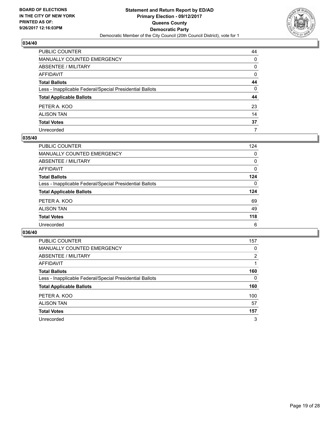

| PUBLIC COUNTER                                           | 44           |
|----------------------------------------------------------|--------------|
| MANUALLY COUNTED EMERGENCY                               | 0            |
| ABSENTEE / MILITARY                                      | 0            |
| AFFIDAVIT                                                | 0            |
| Total Ballots                                            | 44           |
| Less - Inapplicable Federal/Special Presidential Ballots | $\mathbf{0}$ |
| <b>Total Applicable Ballots</b>                          | 44           |
| PETER A. KOO                                             | 23           |
| ALISON TAN                                               | 14           |
| <b>Total Votes</b>                                       | 37           |
| Unrecorded                                               | 7            |

#### **035/40**

| <b>PUBLIC COUNTER</b>                                    | 124      |
|----------------------------------------------------------|----------|
| <b>MANUALLY COUNTED EMERGENCY</b>                        | 0        |
| ABSENTEE / MILITARY                                      | 0        |
| AFFIDAVIT                                                | 0        |
| <b>Total Ballots</b>                                     | 124      |
| Less - Inapplicable Federal/Special Presidential Ballots | $\Omega$ |
| <b>Total Applicable Ballots</b>                          | 124      |
| PETER A. KOO                                             | 69       |
| <b>ALISON TAN</b>                                        | 49       |
| <b>Total Votes</b>                                       | 118      |
| Unrecorded                                               | 6        |
|                                                          |          |

| <b>PUBLIC COUNTER</b>                                    | 157 |
|----------------------------------------------------------|-----|
| <b>MANUALLY COUNTED EMERGENCY</b>                        | 0   |
| <b>ABSENTEE / MILITARY</b>                               | 2   |
| AFFIDAVIT                                                |     |
| <b>Total Ballots</b>                                     | 160 |
| Less - Inapplicable Federal/Special Presidential Ballots | 0   |
| <b>Total Applicable Ballots</b>                          | 160 |
| PETER A. KOO                                             | 100 |
| <b>ALISON TAN</b>                                        | 57  |
| <b>Total Votes</b>                                       | 157 |
| Unrecorded                                               | 3   |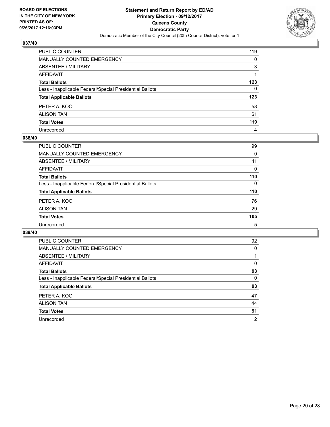

| PUBLIC COUNTER                                           | 119          |
|----------------------------------------------------------|--------------|
| MANUALLY COUNTED EMERGENCY                               | 0            |
| ABSENTEE / MILITARY                                      | 3            |
| AFFIDAVIT                                                |              |
| <b>Total Ballots</b>                                     | 123          |
| Less - Inapplicable Federal/Special Presidential Ballots | $\mathbf{0}$ |
| <b>Total Applicable Ballots</b>                          | 123          |
| PETER A. KOO                                             | 58           |
| ALISON TAN                                               | 61           |
| <b>Total Votes</b>                                       | 119          |
| Unrecorded                                               | 4            |

#### **038/40**

| <b>PUBLIC COUNTER</b>                                    | 99       |
|----------------------------------------------------------|----------|
| MANUALLY COUNTED EMERGENCY                               | 0        |
| ABSENTEE / MILITARY                                      | 11       |
| AFFIDAVIT                                                | $\Omega$ |
| <b>Total Ballots</b>                                     | 110      |
| Less - Inapplicable Federal/Special Presidential Ballots | 0        |
| <b>Total Applicable Ballots</b>                          | 110      |
| PETER A. KOO                                             | 76       |
| <b>ALISON TAN</b>                                        | 29       |
| <b>Total Votes</b>                                       | 105      |
| Unrecorded                                               | 5        |

| <b>PUBLIC COUNTER</b>                                    | 92             |
|----------------------------------------------------------|----------------|
| <b>MANUALLY COUNTED EMERGENCY</b>                        | 0              |
| ABSENTEE / MILITARY                                      |                |
| AFFIDAVIT                                                | 0              |
| <b>Total Ballots</b>                                     | 93             |
| Less - Inapplicable Federal/Special Presidential Ballots | 0              |
| <b>Total Applicable Ballots</b>                          | 93             |
| PETER A. KOO                                             | 47             |
| <b>ALISON TAN</b>                                        | 44             |
| <b>Total Votes</b>                                       | 91             |
| Unrecorded                                               | $\overline{2}$ |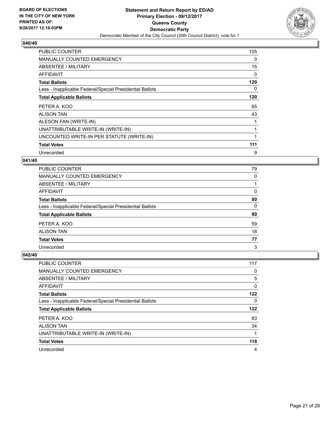

| <b>PUBLIC COUNTER</b>                                    | 105 |
|----------------------------------------------------------|-----|
| <b>MANUALLY COUNTED EMERGENCY</b>                        | 0   |
| ABSENTEE / MILITARY                                      | 15  |
| <b>AFFIDAVIT</b>                                         | 0   |
| <b>Total Ballots</b>                                     | 120 |
| Less - Inapplicable Federal/Special Presidential Ballots | 0   |
| <b>Total Applicable Ballots</b>                          | 120 |
| PETER A. KOO                                             | 65  |
| <b>ALISON TAN</b>                                        | 43  |
| ALESON FAN (WRITE-IN)                                    |     |
| UNATTRIBUTABLE WRITE-IN (WRITE-IN)                       |     |
| UNCOUNTED WRITE-IN PER STATUTE (WRITE-IN)                |     |
| <b>Total Votes</b>                                       | 111 |
| Unrecorded                                               | 9   |

# **041/40**

| <b>PUBLIC COUNTER</b>                                    | 79 |
|----------------------------------------------------------|----|
| <b>MANUALLY COUNTED EMERGENCY</b>                        | 0  |
| ABSENTEE / MILITARY                                      |    |
| <b>AFFIDAVIT</b>                                         | 0  |
| <b>Total Ballots</b>                                     | 80 |
| Less - Inapplicable Federal/Special Presidential Ballots | 0  |
| <b>Total Applicable Ballots</b>                          | 80 |
| PETER A. KOO                                             | 59 |
| <b>ALISON TAN</b>                                        | 18 |
| <b>Total Votes</b>                                       | 77 |
| Unrecorded                                               | 3  |

| <b>PUBLIC COUNTER</b>                                    | 117 |
|----------------------------------------------------------|-----|
| <b>MANUALLY COUNTED EMERGENCY</b>                        | 0   |
| ABSENTEE / MILITARY                                      | 5   |
| AFFIDAVIT                                                | 0   |
| <b>Total Ballots</b>                                     | 122 |
| Less - Inapplicable Federal/Special Presidential Ballots | 0   |
| <b>Total Applicable Ballots</b>                          | 122 |
| PETER A. KOO                                             | 83  |
| <b>ALISON TAN</b>                                        | 34  |
| UNATTRIBUTABLE WRITE-IN (WRITE-IN)                       |     |
| <b>Total Votes</b>                                       | 118 |
|                                                          |     |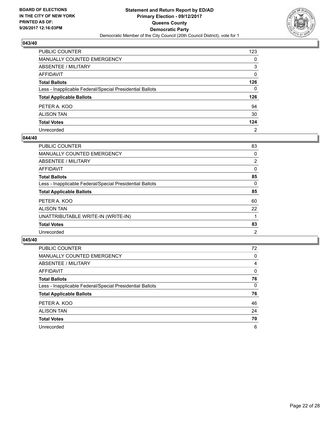

| PUBLIC COUNTER                                           | 123            |
|----------------------------------------------------------|----------------|
| MANUALLY COUNTED EMERGENCY                               | 0              |
| ABSENTEE / MILITARY                                      | 3              |
| AFFIDAVIT                                                | 0              |
| <b>Total Ballots</b>                                     | 126            |
| Less - Inapplicable Federal/Special Presidential Ballots | 0              |
| <b>Total Applicable Ballots</b>                          | 126            |
| PETER A. KOO                                             | 94             |
| ALISON TAN                                               | 30             |
| <b>Total Votes</b>                                       | 124            |
| Unrecorded                                               | $\overline{2}$ |

#### **044/40**

| <b>PUBLIC COUNTER</b>                                    | 83 |
|----------------------------------------------------------|----|
| <b>MANUALLY COUNTED EMERGENCY</b>                        | 0  |
| ABSENTEE / MILITARY                                      | 2  |
| AFFIDAVIT                                                | 0  |
| <b>Total Ballots</b>                                     | 85 |
| Less - Inapplicable Federal/Special Presidential Ballots | 0  |
| <b>Total Applicable Ballots</b>                          | 85 |
| PETER A. KOO                                             | 60 |
| <b>ALISON TAN</b>                                        | 22 |
| UNATTRIBUTABLE WRITE-IN (WRITE-IN)                       |    |
| <b>Total Votes</b>                                       | 83 |
| Unrecorded                                               | 2  |
|                                                          |    |

| <b>PUBLIC COUNTER</b>                                    | 72 |
|----------------------------------------------------------|----|
| MANUALLY COUNTED EMERGENCY                               | 0  |
| ABSENTEE / MILITARY                                      | 4  |
| AFFIDAVIT                                                | 0  |
| <b>Total Ballots</b>                                     | 76 |
| Less - Inapplicable Federal/Special Presidential Ballots | 0  |
| <b>Total Applicable Ballots</b>                          | 76 |
| PETER A. KOO                                             | 46 |
| <b>ALISON TAN</b>                                        | 24 |
| <b>Total Votes</b>                                       | 70 |
| Unrecorded                                               | 6  |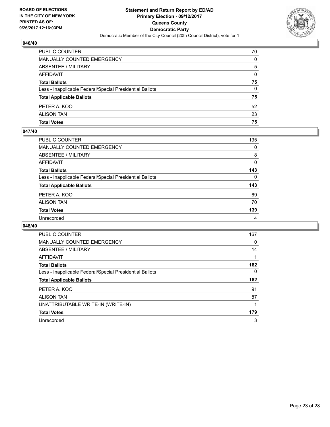

| PUBLIC COUNTER                                           | 70 |
|----------------------------------------------------------|----|
| MANUALLY COUNTED EMERGENCY                               | 0  |
| ABSENTEE / MILITARY                                      | 5  |
| AFFIDAVIT                                                | 0  |
| <b>Total Ballots</b>                                     | 75 |
| Less - Inapplicable Federal/Special Presidential Ballots | 0  |
| <b>Total Applicable Ballots</b>                          | 75 |
| PETER A. KOO                                             | 52 |
| <b>ALISON TAN</b>                                        | 23 |
| <b>Total Votes</b>                                       | 75 |

#### **047/40**

| PUBLIC COUNTER                                           | 135      |
|----------------------------------------------------------|----------|
| <b>MANUALLY COUNTED EMERGENCY</b>                        | $\Omega$ |
| ABSENTEE / MILITARY                                      | 8        |
| <b>AFFIDAVIT</b>                                         | 0        |
| <b>Total Ballots</b>                                     | 143      |
| Less - Inapplicable Federal/Special Presidential Ballots | $\Omega$ |
| <b>Total Applicable Ballots</b>                          | 143      |
| PETER A. KOO                                             | 69       |
| <b>ALISON TAN</b>                                        | 70       |
| <b>Total Votes</b>                                       | 139      |
| Unrecorded                                               | 4        |
|                                                          |          |

| <b>PUBLIC COUNTER</b>                                    | 167 |
|----------------------------------------------------------|-----|
| <b>MANUALLY COUNTED EMERGENCY</b>                        | 0   |
| ABSENTEE / MILITARY                                      | 14  |
| <b>AFFIDAVIT</b>                                         |     |
| <b>Total Ballots</b>                                     | 182 |
| Less - Inapplicable Federal/Special Presidential Ballots | 0   |
| <b>Total Applicable Ballots</b>                          | 182 |
| PETER A. KOO                                             | 91  |
| <b>ALISON TAN</b>                                        | 87  |
| UNATTRIBUTABLE WRITE-IN (WRITE-IN)                       |     |
| <b>Total Votes</b>                                       | 179 |
| Unrecorded                                               | 3   |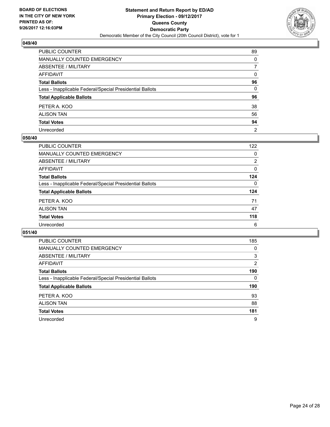

| PUBLIC COUNTER                                           | 89             |
|----------------------------------------------------------|----------------|
| MANUALLY COUNTED EMERGENCY                               | 0              |
| ABSENTEE / MILITARY                                      | 7              |
| AFFIDAVIT                                                | $\mathbf{0}$   |
| <b>Total Ballots</b>                                     | 96             |
| Less - Inapplicable Federal/Special Presidential Ballots | $\mathbf{0}$   |
| <b>Total Applicable Ballots</b>                          | 96             |
| PETER A. KOO                                             | 38             |
| ALISON TAN                                               | 56             |
| <b>Total Votes</b>                                       | 94             |
| Unrecorded                                               | $\overline{2}$ |

#### **050/40**

| PUBLIC COUNTER                                           | 122      |
|----------------------------------------------------------|----------|
| <b>MANUALLY COUNTED EMERGENCY</b>                        | 0        |
| ABSENTEE / MILITARY                                      | 2        |
| AFFIDAVIT                                                | $\Omega$ |
| <b>Total Ballots</b>                                     | 124      |
| Less - Inapplicable Federal/Special Presidential Ballots | $\Omega$ |
| <b>Total Applicable Ballots</b>                          | 124      |
| PETER A. KOO                                             | 71       |
| <b>ALISON TAN</b>                                        | 47       |
| <b>Total Votes</b>                                       | 118      |
| Unrecorded                                               | 6        |

| <b>PUBLIC COUNTER</b>                                    | 185            |
|----------------------------------------------------------|----------------|
| <b>MANUALLY COUNTED EMERGENCY</b>                        | 0              |
| ABSENTEE / MILITARY                                      | 3              |
| <b>AFFIDAVIT</b>                                         | $\overline{2}$ |
| <b>Total Ballots</b>                                     | 190            |
| Less - Inapplicable Federal/Special Presidential Ballots | 0              |
| <b>Total Applicable Ballots</b>                          | 190            |
| PETER A. KOO                                             | 93             |
| <b>ALISON TAN</b>                                        | 88             |
|                                                          |                |
| <b>Total Votes</b>                                       | 181            |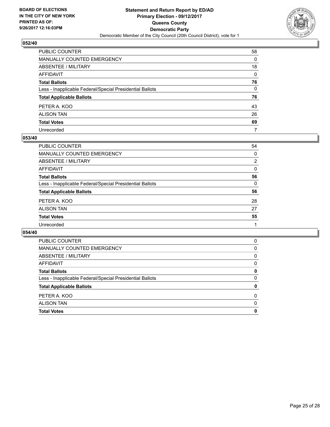

| PUBLIC COUNTER                                           | 58 |
|----------------------------------------------------------|----|
| MANUALLY COUNTED EMERGENCY                               | 0  |
| ABSENTEE / MILITARY                                      | 18 |
| AFFIDAVIT                                                | 0  |
| <b>Total Ballots</b>                                     | 76 |
| Less - Inapplicable Federal/Special Presidential Ballots | 0  |
| <b>Total Applicable Ballots</b>                          | 76 |
| PETER A. KOO                                             | 43 |
| ALISON TAN                                               | 26 |
| <b>Total Votes</b>                                       | 69 |
| Unrecorded                                               | 7  |

#### **053/40**

| PUBLIC COUNTER                                           | 54             |
|----------------------------------------------------------|----------------|
| MANUALLY COUNTED EMERGENCY                               | 0              |
| ABSENTEE / MILITARY                                      | $\overline{2}$ |
| AFFIDAVIT                                                | 0              |
| <b>Total Ballots</b>                                     | 56             |
| Less - Inapplicable Federal/Special Presidential Ballots | 0              |
| <b>Total Applicable Ballots</b>                          | 56             |
| PETER A. KOO                                             | 28             |
| <b>ALISON TAN</b>                                        | 27             |
| <b>Total Votes</b>                                       | 55             |
| Unrecorded                                               |                |

| <b>Total Votes</b>                                       | 0        |
|----------------------------------------------------------|----------|
| <b>ALISON TAN</b>                                        | $\Omega$ |
| PETER A. KOO                                             | $\Omega$ |
| <b>Total Applicable Ballots</b>                          | 0        |
| Less - Inapplicable Federal/Special Presidential Ballots | 0        |
| <b>Total Ballots</b>                                     | 0        |
| AFFIDAVIT                                                | 0        |
| ABSENTEE / MILITARY                                      | 0        |
| MANUALLY COUNTED EMERGENCY                               | 0        |
| <b>PUBLIC COUNTER</b>                                    | 0        |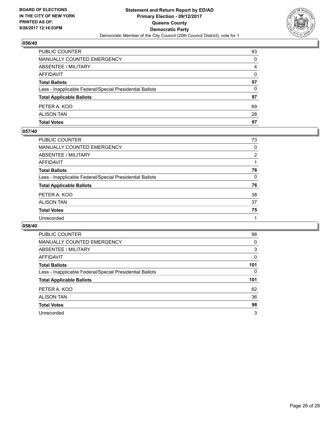

| PUBLIC COUNTER                                           | 93       |
|----------------------------------------------------------|----------|
| MANUALLY COUNTED EMERGENCY                               | 0        |
| <b>ABSENTEE / MILITARY</b>                               | 4        |
| AFFIDAVIT                                                | $\Omega$ |
| <b>Total Ballots</b>                                     | 97       |
| Less - Inapplicable Federal/Special Presidential Ballots | $\Omega$ |
| <b>Total Applicable Ballots</b>                          | 97       |
| PETER A. KOO                                             | 69       |
| <b>ALISON TAN</b>                                        | 28       |
| <b>Total Votes</b>                                       | 97       |

#### **057/40**

| PUBLIC COUNTER                                           | 73       |
|----------------------------------------------------------|----------|
| <b>MANUALLY COUNTED EMERGENCY</b>                        | $\Omega$ |
| <b>ABSENTEE / MILITARY</b>                               | 2        |
| <b>AFFIDAVIT</b>                                         |          |
| <b>Total Ballots</b>                                     | 76       |
| Less - Inapplicable Federal/Special Presidential Ballots | $\Omega$ |
| <b>Total Applicable Ballots</b>                          | 76       |
| PETER A. KOO                                             | 38       |
| <b>ALISON TAN</b>                                        | 37       |
| <b>Total Votes</b>                                       | 75       |
| Unrecorded                                               |          |
|                                                          |          |

| PUBLIC COUNTER                                           | 98  |
|----------------------------------------------------------|-----|
| MANUALLY COUNTED EMERGENCY                               | 0   |
| ABSENTEE / MILITARY                                      | 3   |
| AFFIDAVIT                                                | 0   |
| <b>Total Ballots</b>                                     | 101 |
| Less - Inapplicable Federal/Special Presidential Ballots | 0   |
| <b>Total Applicable Ballots</b>                          | 101 |
| PETER A. KOO                                             | 62  |
| <b>ALISON TAN</b>                                        | 36  |
| <b>Total Votes</b>                                       | 98  |
| Unrecorded                                               | 3   |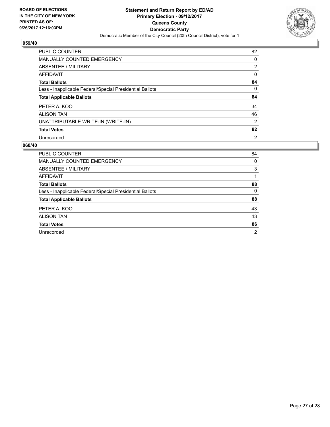

| <b>PUBLIC COUNTER</b>                                    | 82             |
|----------------------------------------------------------|----------------|
| <b>MANUALLY COUNTED EMERGENCY</b>                        | 0              |
| ABSENTEE / MILITARY                                      | $\overline{2}$ |
| AFFIDAVIT                                                | 0              |
| <b>Total Ballots</b>                                     | 84             |
| Less - Inapplicable Federal/Special Presidential Ballots | 0              |
| <b>Total Applicable Ballots</b>                          | 84             |
| PETER A. KOO                                             | 34             |
| <b>ALISON TAN</b>                                        | 46             |
| UNATTRIBUTABLE WRITE-IN (WRITE-IN)                       | $\overline{2}$ |
| <b>Total Votes</b>                                       | 82             |
| Unrecorded                                               | $\overline{2}$ |

| <b>PUBLIC COUNTER</b>                                    | 84             |
|----------------------------------------------------------|----------------|
| MANUALLY COUNTED EMERGENCY                               | 0              |
| ABSENTEE / MILITARY                                      | 3              |
| AFFIDAVIT                                                |                |
| <b>Total Ballots</b>                                     | 88             |
| Less - Inapplicable Federal/Special Presidential Ballots | 0              |
| <b>Total Applicable Ballots</b>                          | 88             |
| PETER A. KOO                                             | 43             |
| <b>ALISON TAN</b>                                        | 43             |
| <b>Total Votes</b>                                       | 86             |
| Unrecorded                                               | $\overline{2}$ |